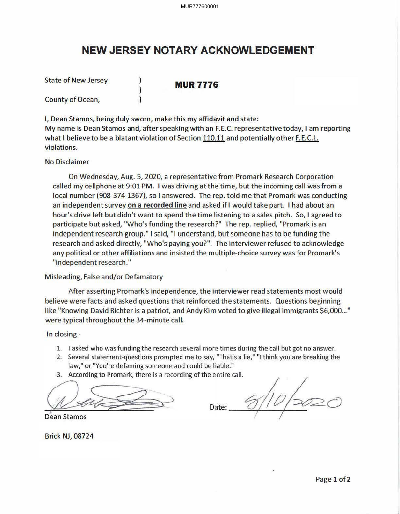## **NEW JERSEY NOTARY ACKNOWLEDGEMENT**

State of New Jersey **NUR 7776** 

County of Ocean,

I, Dean Stamos, being duly sworn, make this my affidavit and state: My name is Dean Stamos and, after speaking with an F.E.C. representative today, I am reporting what I believe to be a blatant violation of Section 110.11 and potentially other F.E.C.L. violations.

No Disclaimer

On Wednesday, Aug. 5, 2020, a representative from Promark Research Corporation called my cellphone at 9:01 PM. I was driving atthe time, but the incoming call was from a local number (908 374 1367), so I answered. The rep. told me that Promark was conducting an independent survey on a recorded line and asked if I would take part. I had about an hour's drive left but didn't want to spend the time listening to a sales pitch. So, I agreed to participate but asked, "Who's funding the research?" The rep. replied, "Promark is an independent research group." I said, "I understand, but someone has to be funding the research and asked directly, "Who's paying you?". The interviewer refused to acknowledge any political or other affiliations and insisted the multiple-choice survey was for Promark's "independent research."

Misleading, False and/or Defamatory

After asserting Promark's independence, the interviewer read statements most would believe were facts and asked questions that reinforced the statements. Questions beginning like "Knowing David Richter is a patriot, and Andy Kim voted to give illegal immigrants \$6,000..." were typical throughout the 34-minute call.

In closing -

- 1. I asked who was funding the research several more times during the call but got no answer.
- 2. Several statement-questions prompted me to say, "That's a lie," "I think you are breaking the law," or "You're defaming someone and could be liable."
- 3. According to Promark, there is a recording of the entire call.

S. According to Promark, there is a recording<br>Dean Stamos

Date:

Dean Stamos

Brick NJ, 08724